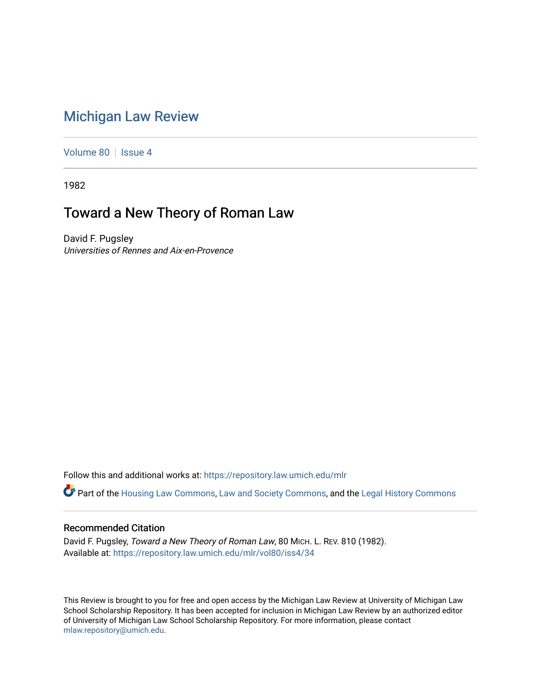## [Michigan Law Review](https://repository.law.umich.edu/mlr)

[Volume 80](https://repository.law.umich.edu/mlr/vol80) | [Issue 4](https://repository.law.umich.edu/mlr/vol80/iss4)

1982

# Toward a New Theory of Roman Law

David F. Pugsley Universities of Rennes and Aix-en-Provence

Follow this and additional works at: [https://repository.law.umich.edu/mlr](https://repository.law.umich.edu/mlr?utm_source=repository.law.umich.edu%2Fmlr%2Fvol80%2Fiss4%2F34&utm_medium=PDF&utm_campaign=PDFCoverPages) 

Part of the [Housing Law Commons,](http://network.bepress.com/hgg/discipline/846?utm_source=repository.law.umich.edu%2Fmlr%2Fvol80%2Fiss4%2F34&utm_medium=PDF&utm_campaign=PDFCoverPages) [Law and Society Commons](http://network.bepress.com/hgg/discipline/853?utm_source=repository.law.umich.edu%2Fmlr%2Fvol80%2Fiss4%2F34&utm_medium=PDF&utm_campaign=PDFCoverPages), and the [Legal History Commons](http://network.bepress.com/hgg/discipline/904?utm_source=repository.law.umich.edu%2Fmlr%2Fvol80%2Fiss4%2F34&utm_medium=PDF&utm_campaign=PDFCoverPages)

### Recommended Citation

David F. Pugsley, Toward a New Theory of Roman Law, 80 MICH. L. REV. 810 (1982). Available at: [https://repository.law.umich.edu/mlr/vol80/iss4/34](https://repository.law.umich.edu/mlr/vol80/iss4/34?utm_source=repository.law.umich.edu%2Fmlr%2Fvol80%2Fiss4%2F34&utm_medium=PDF&utm_campaign=PDFCoverPages) 

This Review is brought to you for free and open access by the Michigan Law Review at University of Michigan Law School Scholarship Repository. It has been accepted for inclusion in Michigan Law Review by an authorized editor of University of Michigan Law School Scholarship Repository. For more information, please contact [mlaw.repository@umich.edu.](mailto:mlaw.repository@umich.edu)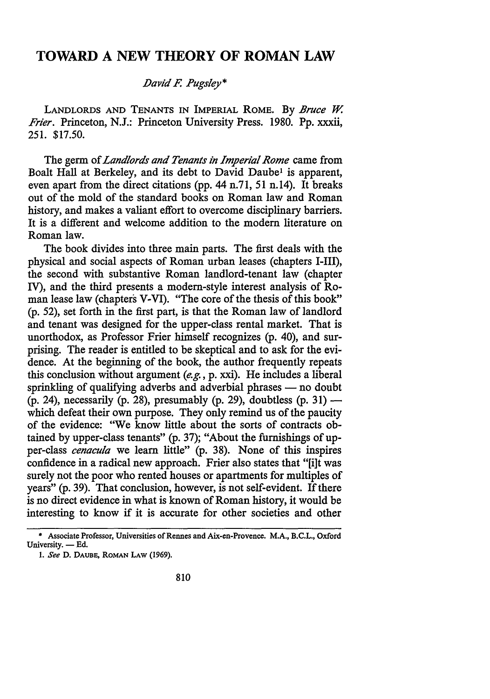## **TOWARD A NEW THEORY OF ROMAN LAW**

### *.David F. Pugsley\**

LANDLORDS AND TENANTS IN IMPERIAL ROME. By *Bruce W*. *Frier.* Princeton, N.J.: Princeton University Press. 1980. Pp. xxxii, 251. \$17.50.

The germ of *Landlords and Tenants in Imperial Rome* came from Boalt Hall at Berkeley, and its debt to David Daube<sup>1</sup> is apparent, even apart from the direct citations (pp. 44 n.71, 51 n.14). It breaks out of the mold of the standard books on Roman law and Roman history, and makes a valiant effort to overcome disciplinary barriers. It is a different and welcome addition to the modem literature on Roman law.

The book divides into three main parts. The first deals with the physical and social aspects of Roman urban leases (chapters **1-111),**  the second with substantive Roman landlord-tenant law ( chapter IV), and the third presents a modem-style interest analysis of Roman lease law (chapters V-VI). "The core of the thesis of this book" (p. 52), set forth in the first part, is that the Roman law of landlord and tenant was designed for the upper-class rental market. That is unorthodox, as Professor Frier himself recognizes (p. 40), and surprising. The reader is entitled to be skeptical and to ask for the evidence. At the beginning of the book, the author frequently repeats this conclusion without argument  $(e.g., p. xxi)$ . He includes a liberal sprinkling of qualifying adverbs and adverbial phrases - no doubt (p. 24), necessarily (p. 28), presumably (p. 29), doubtless (p. 31)  $$ which defeat their own purpose. They only remind us of the paucity of the evidence: "We know little about the sorts of contracts obtained by upper-class tenants" (p. 37); "About the furnishings of upper-class *cenacula* we learn little" (p. 38). None of this inspires confidence in a radical new approach. Frier also states that "[i]t was surely not the poor who rented houses or apartments for multiples of years" (p. 39). That conclusion, however, is not self-evident. If there is no direct evidence in what is known of Roman history, it would be interesting to know if it is accurate for other societies and other

<sup>•</sup> Associate Professor, Universities ofRennes and Aix-en-Provence. **M.A.,** B.C.L., Oxford University. - Ed.

<sup>1.</sup> *See* D. DAUBE, ROMAN LAW (1969).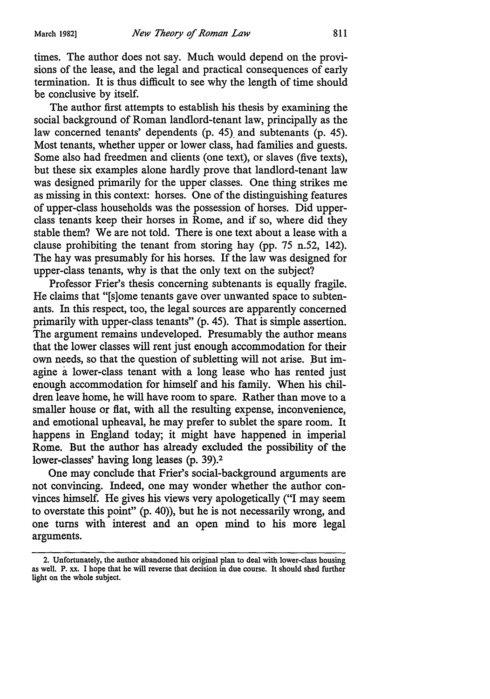times. The author does not say. Much would depend on the provisions of the lease, and the legal and practical consequences of early termination. It is thus difficult to see why the length of time should be conclusive by itself.

The author first attempts to establish his thesis by examining the social background of Roman landlord-tenant law, principally as the law concerned tenants' dependents (p. 45). and subtenants (p. 45). Most tenants, whether upper or lower class, had families and guests. Some also had freedmen and clients (one text), or slaves (five texts), but these six examples alone hardly prove that landlord-tenant law was designed primarily for the upper classes. One thing strikes me as missing in this context: horses. One of the distinguishing features of upper-class households was the possession of horses. Did upperclass tenants keep their horses in Rome, and if so, where did they stable them? We are not told. There is one text about a lease with a clause prohibiting the tenant from storing hay (pp. 75 n.52, 142). The hay was presumably for his horses. If the law was designed for upper-class tenants, why is that the only text on the subject?

Professor Frier's thesis concerning subtenants is equally fragile. He claims that "[s]ome tenants gave over unwanted space to subtenants. In this respect, too, the legal sources are apparently concerned primarily with upper-class tenants" (p. 45). That is simple assertion. The argument remains undeveloped. Presumably the author means that the lower classes will rent just enough accommodation for their own needs, so that the question of subletting will not arise. But imagine a lower-class tenant with a long lease who has rented just enough accommodation for himself and his family. When his children leave home, he will have room to spare. Rather than move to a smaller house or flat, with all the resulting expense, inconvenience, and emotional upheaval, he may prefer to sublet the spare room. It happens in England today; it might have happened in imperial Rome. But the author has already excluded the possibility of the lower-classes' having long leases (p. 39).<sup>2</sup>

One may conclude that Frier's social-background arguments are not convincing. Indeed, one may wonder whether the author convinces himself. He gives his views very apologetically ("I may seem to overstate this point" (p. 40)), but he is not necessarily wrong, and one turns with interest and an open mind to his more legal arguments.

<sup>2.</sup> Unfortunately, the author abandoned his original plan to deal with lower-class housing as well. P. xx. I hope that he will reverse that decision in due course. It should shed further light on the whole subject.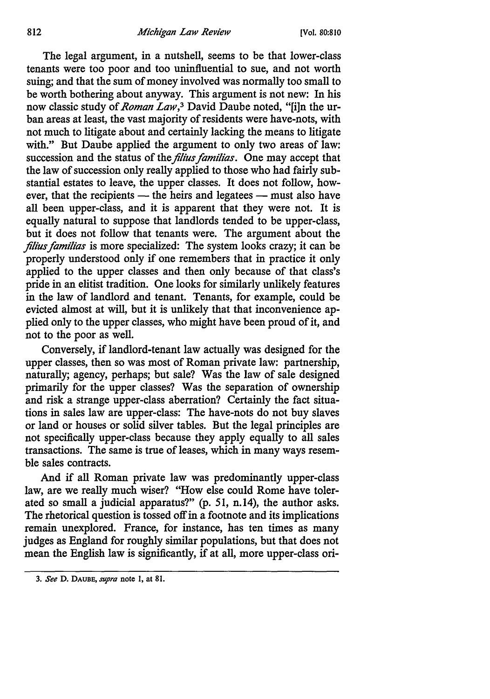#### 812 *Michigan Law Review* (Vol. 80:810

The legal argument, in a nutshell, seems to be that lower-class tenants were too poor and too uninfluential to sue, and not worth suing; and that the sum of money involved was normally too small to be worth bothering about anyway. This argument is not new: In his now classic study of *Roman Law,3* David Daube noted, "[i]n the urban areas at least, the vast majority of residents were have-nots, with not much to litigate about and certainly lacking the means to litigate with." But Daube applied the argument to only two areas of law: succession and the status of the *filius familias*. One may accept that the law of succession only really applied to those who had fairly substantial estates to leave, the upper classes. It does not follow, however, that the recipients  $-$  the heirs and legatees  $-$  must also have all been upper-class, and it is apparent that they were not. It is equally natural to suppose that landlords tended to be upper-class, but it does not follow that tenants were. The argument about the *filius familias* is more specialized: The system looks crazy; it can be properly understood only if one remembers that in practice it only applied to the upper classes and then only because of that class's pride in an elitist tradition. One looks for similarly unlikely features in the law of landlord and tenant. Tenants, for example, could be evicted almost at will, but it is unlikely that that inconvenience applied only to the upper classes, who might have been proud of it, and not to the poor as well.

Conversely, if landlord-tenant law actually was designed for the upper classes, then so was most of Roman private law: partnership, naturally; agency, perhaps; but sale? Was the law of sale designed primarily for the upper classes? Was the separation of ownership and risk a strange upper-class aberration? Certainly the fact situations in sales law are upper-class: The have-nots do not buy slaves or land or houses or solid silver tables. But the legal principles are not specifically upper-class because they apply equally to all sales transactions. The same is true of leases, which in many ways resemble sales contracts.

And if all Roman private law was predominantly upper-class law, are we really much wiser? "How else could Rome have tolerated so small a judicial apparatus?" (p. 51, n.14), the author asks. The rhetorical question is tossed off in a footnote and its implications remain unexplored. France, for instance, has ten times as many judges as England for roughly similar populations, but that does not mean the English law is significantly, if at all, more upper-class ori-

<sup>3.</sup> *See* D. DAUBE, *supra* note I, at 81.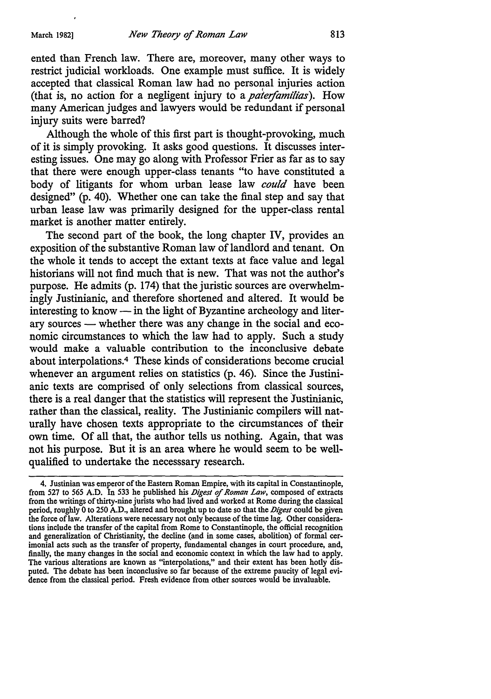ented than French law. There are, moreover, many other ways to restrict judicial workloads. One example must suffice. It is widely accepted that classical Roman law had no personal injuries action (that is, no action for a negligent injury to a *paterfamilias).* How many American judges and lawyers would be redundant if personal injury suits were barred?

Although the whole of this first part is thought-provoking, much of it is simply provoking. It asks good questions. It discusses interesting issues. One may go along with Professor Frier as far as to say that there were enough upper-class tenants "to have constituted a body of litigants for whom urban lease law *could* have been designed" (p. 40). Whether one can take the final step and say that urban lease law was primarily designed for the upper-class rental market is another matter entirely.

The second part of the book, the long chapter IV, provides an exposition of the substantive Roman law of landlord and tenant. On the whole it tends to accept the extant texts at face value and legal historians will not find much that is new. That was not the author's purpose. He admits (p. 174) that the juristic sources are overwhelmingly Justinianic, and therefore shortened and altered. It would be interesting to know  $\frac{1}{\sqrt{1-\frac{1}{\pi}}}$  in the light of Byzantine archeology and literary sources — whether there was any change in the social and economic circumstances to which the law had to apply. Such a study would make a valuable contribution to the inconclusive debate about interpolations.4 These kinds of considerations become crucial whenever an argument relies on statistics (p. 46). Since the Justinianic texts are comprised of only selections from classical sources, there is a real danger that the statistics will represent the )ustinianic, rather than the classical, reality. The Justinianic compilers will naturally have chosen texts appropriate to the circumstances of their own time. Of all that, the author tells us nothing. Again, that was not his purpose. But it is an area where he would seem to be wellqualified to undertake the necesssary research.

<sup>4.</sup> Justinian was emperor of the Eastern Roman Empire, with its capital in Constantinople, from 527 to 565 A.D. In 533 he published his *Digest of Roman Law,* composed of extracts from the writings of thirty-nine jurists who had lived and worked at Rome during the classical period, roughly Oto 250 A.D., altered and brought up to date so that the *Digest* could be given the force oflaw. Alterations were necessary not only because of the time lag. Other considerations include the transfer of the capital from Rome to Constantinople, the official recognition and generalization of Christianity, the decline (and in some cases, abolition) of formal cerimonial acts such as the transfer of property, fundamental changes in court procedure, and, finally, the many changes in the social and economic context in which the law had to apply. The various alterations are known as "interpolations," and their extent has been hotly disputed. The debate has been inconclusive so far because of the extreme paucity of legal evidence from the classical period. Fresh evidence from other sources would be invaluable.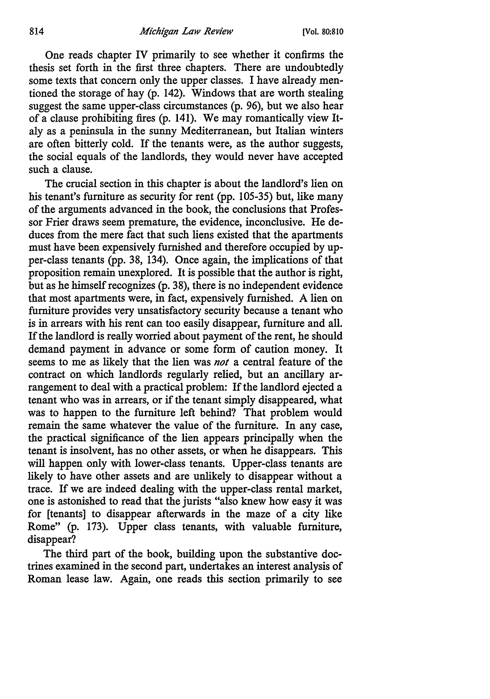One reads chapter IV primarily to see whether it confirms the thesis set forth in the first three chapters. There are undoubtedly some texts that concern only the upper classes. I have already mentioned the storage of hay (p. 142). Windows that are worth stealing suggest the same upper-class circumstances (p. 96), but we also hear of a clause prohibiting fires (p. 141). We may romantically view Italy as a peninsula in the sunny Mediterranean, but Italian winters are often bitterly cold. If the tenants were, as the author suggests, the social equals of the landlords, they would never have accepted such a clause.

The crucial section in this chapter is about the landlord's lien on his tenant's furniture as security for rent (pp. 105-35) but, like many of the arguments advanced in the book, the conclusions that Professor Frier draws seem premature, the evidence, inconclusive. He deduces from the mere fact that such liens existed that the apartments must have been expensively furnished and therefore occupied by upper-class tenants (pp. 38, 134). Once again, the implications of that proposition remain unexplored. It is possible that the author is right, but as he himself recognizes (p. 38), there is no independent evidence that most apartments were, in fact, expensively furnished. A lien on furniture provides very unsatisfactory security because a tenant who is in arrears with his rent can too easily disappear, furniture and all. If the landlord is really worried about payment of the rent, he should demand payment in advance or some form of caution money. It seems to me as likely that the lien was *not* a central feature of the contract on which landlords regularly relied, but an ancillary arrangement to deal with a practical problem: If the landlord ejected a tenant who was in arrears, or if the tenant simply disappeared, what was to happen to the furniture left behind? That problem would remain the same whatever the value of the furniture. In any case, the practical significance of the lien appears principally when the tenant is insolvent, has no other assets, or when he disappears. This will happen only with lower-class tenants. Upper-class tenants are likely to have other assets and are unlikely to disappear without a trace. If we are indeed dealing with the upper-class rental market, one is astonished to read that the jurists "also knew how easy it was for [tenants] to disappear afterwards in the maze of a city like Rome" (p. 173). Upper class tenants, with valuable furniture, disappear?

The third part of the book, building upon the substantive doctrines examined in the second part, undertakes an interest analysis of Roman lease law. Again, one reads this section primarily to see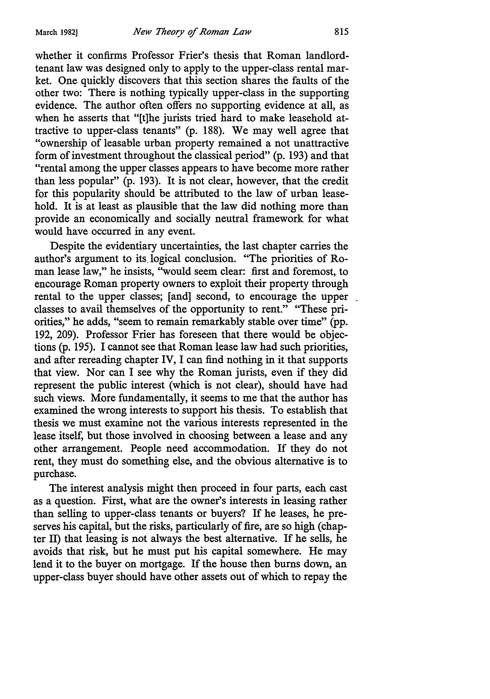whether it confirms Professor Frier's thesis that Roman landlordtenant law was designed only to apply to the upper-class rental market. One quickly discovers that this section shares the faults of the other two: There is nothing typically upper-class in the supporting evidence. The author often offers no supporting evidence at all, as when he asserts that "[t]he jurists tried hard to make leasehold attractive to upper-class tenants" (p. 188). We may well agree that "ownership of leasable urban property remained a not unattractive form of investment throughout the classical period" (p. 193) and that "rental among the upper classes appears to have become more rather than less popular" (p. 193). It is not clear, however, that the credit for this popularity should be attributed to the law of urban leasehold. It is at least as plausible that the law did nothing more than provide an economically and socially neutral framework for what would have occurred in any event.

Despite the evidentiary uncertainties, the last chapter carries the author's argument to its. logical conclusion. "The priorities of Roman lease law," he insists, ''would seem clear: first and foremost, to encourage Roman property owners to exploit their property through rental to the upper classes; [and] second, to encourage the upper classes to avail themselves of the opportunity to rent." "These priorities," he adds, "seem to remain remarkably stable over time" (pp. 192, 209). Professor Frier has foreseen that there would be objections (p. 195). I cannot see that Roman lease law had such priorities, and after rereading chapter IV, I can find nothing in it that supports that view. Nor can I see why the Roman jurists, even if they did represent the public interest (which is not clear), should have had such views. More fundamentally, it seems to me that the author has examined the wrong interests to support his thesis. To establish that thesis we must examine not the various interests represented in the lease itself, but those involved in choosing between a lease and any other arrangement. People need accommodation. If they do not rent, they must do something else, and the obvious alternative is to purchase.

The interest analysis might then proceed in four parts, each cast as a question. First, what are the owner's interests in leasing rather than selling to upper-class tenants or buyers? If he leases, he preserves his capital, but the risks, particularly of fire, are so high ( chapter II) that leasing is not always the best alternative. If he sells, he avoids that risk, but he must put his capital somewhere. He may lend it to the buyer on mortgage. If the house then burns down, an upper-class buyer should have other assets out of which to repay the